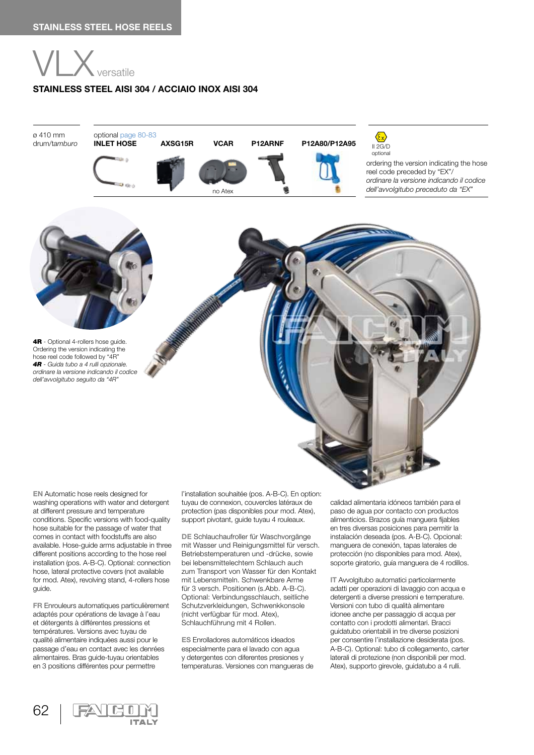

4R - Optional 4-rollers hose quide. Ordering the version indicating the hose reel code followed by "4R" *4R - Guida tubo a 4 rulli opzionale. ordinare la versione indicando il codice dell'avvolgitubo seguito da "4R"*

## **STAINLESS STEEL AISI 304 / ACCIAIO INOX AISI 304**



**EN** Automatic hose reels designed for washing operations with water and detergent at different pressure and temperature conditions. Specific versions with food-quality hose suitable for the passage of water that comes in contact with foodstuffs are also available. Hose-guide arms adjustable in three different positions according to the hose reel installation (pos. A-B-C). Optional: connection hose, lateral protective covers (not available for mod. Atex), revolving stand, 4-rollers hose guide.

**FR** Enrouleurs automatiques particulièrement adaptés pour opérations de lavage à l'eau et détergents à différentes pressions et températures. Versions avec tuyau de qualité alimentaire indiquées aussi pour le passage d'eau en contact avec les denrées alimentaires. Bras guide-tuyau orientables en 3 positions différentes pour permettre

62

l'installation souhaitée (pos. A-B-C). En option: tuyau de connexion, couvercles latéraux de protection (pas disponibles pour mod. Atex), support pivotant, guide tuyau 4 rouleaux.

**DE** Schlauchaufroller für Waschvorgänge mit Wasser und Reinigungsmittel für versch. Betriebstemperaturen und -drücke, sowie bei lebensmittelechtem Schlauch auch zum Transport von Wasser für den Kontakt mit Lebensmitteln. Schwenkbare Arme für 3 versch. Positionen (s.Abb. A-B-C). Optional: Verbindungsschlauch, seitliche Schutzverkleidungen, Schwenkkonsole (nicht verfügbar für mod. Atex), Schlauchführung mit 4 Rollen.

**ES** Enrolladores automáticos ideados especialmente para el lavado con agua y detergentes con diferentes presiones y temperaturas. Versiones con mangueras de

calidad alimentaria idóneos también para el paso de agua por contacto con productos alimenticios. Brazos guía manguera fijables en tres diversas posiciones para permitir la instalación deseada (pos. A-B-C). Opcional: manguera de conexión, tapas laterales de protección (no disponibles para mod. Atex), soporte giratorio, guía manguera de 4 rodillos.

**IT** Avvolgitubo automatici particolarmente adatti per operazioni di lavaggio con acqua e detergenti a diverse pressioni e temperature. Versioni con tubo di qualità alimentare idonee anche per passaggio di acqua per contatto con i prodotti alimentari. Bracci guidatubo orientabili in tre diverse posizioni per consentire l'installazione desiderata (pos. A-B-C). Optional: tubo di collegamento, carter laterali di protezione (non disponibili per mod. Atex), supporto girevole, guidatubo a 4 rulli.